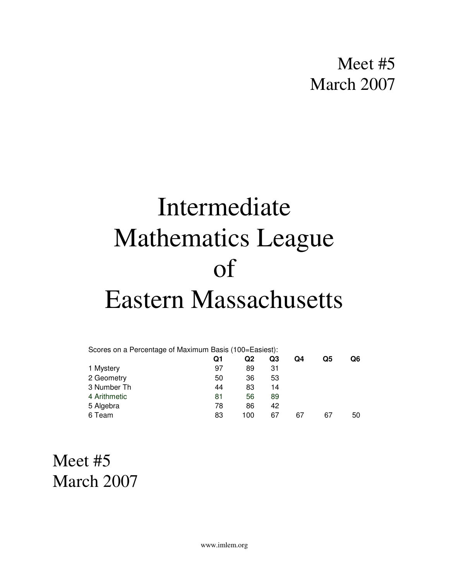## Meet #5 March 2007

# Intermediate Mathematics League of Eastern Massachusetts

| Scores on a Percentage of Maximum Basis (100=Easiest): |    |     |    |    |    |    |
|--------------------------------------------------------|----|-----|----|----|----|----|
|                                                        | Q1 | Q2  | Q3 | Q4 | Q5 | Q6 |
| 1 Mystery                                              | 97 | 89  | 31 |    |    |    |
| 2 Geometry                                             | 50 | 36  | 53 |    |    |    |
| 3 Number Th                                            | 44 | 83  | 14 |    |    |    |
| 4 Arithmetic                                           | 81 | 56  | 89 |    |    |    |
| 5 Algebra                                              | 78 | 86  | 42 |    |    |    |
| 6 Team                                                 | 83 | 100 | 67 | 67 | 67 | 50 |

## Meet #5 March 2007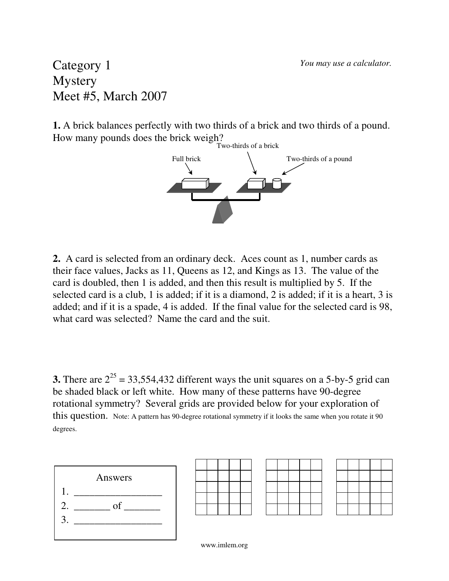#### Category 1 **Mystery** Meet #5, March 2007

**1.** A brick balances perfectly with two thirds of a brick and two thirds of a pound. How many pounds does the brick weigh?



**2.** A card is selected from an ordinary deck. Aces count as 1, number cards as their face values, Jacks as 11, Queens as 12, and Kings as 13. The value of the card is doubled, then 1 is added, and then this result is multiplied by 5. If the selected card is a club, 1 is added; if it is a diamond, 2 is added; if it is a heart, 3 is added; and if it is a spade, 4 is added. If the final value for the selected card is 98, what card was selected? Name the card and the suit.

**3.** There are  $2^{25} = 33,554,432$  different ways the unit squares on a 5-by-5 grid can be shaded black or left white. How many of these patterns have 90-degree rotational symmetry? Several grids are provided below for your exploration of this question. Note: A pattern has 90-degree rotational symmetry if it looks the same when you rotate it 90 degrees.



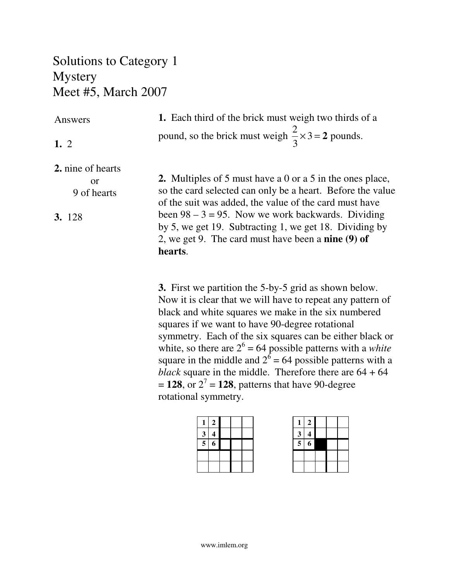#### Solutions to Category 1 **Mystery** Meet #5, March 2007

#### Answers

**1.** 2

**1.** Each third of the brick must weigh two thirds of a pound, so the brick must weigh 2 3  $\times$ 3 = 2 pounds.

**2.** nine of hearts

or 9 of hearts

**3.** 128

**2.** Multiples of 5 must have a 0 or a 5 in the ones place, so the card selected can only be a heart. Before the value of the suit was added, the value of the card must have been  $98 - 3 = 95$ . Now we work backwards. Dividing by 5, we get 19. Subtracting 1, we get 18. Dividing by 2, we get 9. The card must have been a **nine (9) of hearts**.

**3.** First we partition the 5-by-5 grid as shown below. Now it is clear that we will have to repeat any pattern of black and white squares we make in the six numbered squares if we want to have 90-degree rotational symmetry. Each of the six squares can be either black or white, so there are  $2^6 = 64$  possible patterns with a *white* square in the middle and  $2^6 = 64$  possible patterns with a *black* square in the middle. Therefore there are 64 + 64  $= 128$ , or  $2^7 = 128$ , patterns that have 90-degree rotational symmetry.

| 1                       | $\boldsymbol{2}$ |  |  |
|-------------------------|------------------|--|--|
| $\overline{\mathbf{3}}$ | $\boldsymbol{4}$ |  |  |
| $\overline{5}$          | $\overline{6}$   |  |  |
|                         |                  |  |  |
|                         |                  |  |  |

| 1                       | $\boldsymbol{2}$ |  |  |
|-------------------------|------------------|--|--|
| 3                       | 4                |  |  |
| $\overline{\mathbf{5}}$ | 6                |  |  |
|                         |                  |  |  |
|                         |                  |  |  |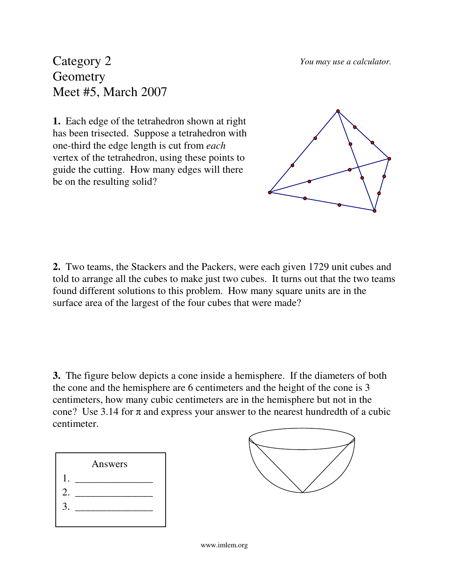*You may use a calculator.*

Category 2 **Geometry** Meet #5, March 2007

**1.** Each edge of the tetrahedron shown at right has been trisected. Suppose a tetrahedron with one-third the edge length is cut from *each* vertex of the tetrahedron, using these points to guide the cutting. How many edges will there be on the resulting solid?



**2.** Two teams, the Stackers and the Packers, were each given 1729 unit cubes and told to arrange all the cubes to make just two cubes. It turns out that the two teams found different solutions to this problem. How many square units are in the surface area of the largest of the four cubes that were made?

**3.** The figure below depicts a cone inside a hemisphere. If the diameters of both the cone and the hemisphere are 6 centimeters and the height of the cone is 3 centimeters, how many cubic centimeters are in the hemisphere but not in the cone? Use 3.14 for  $\pi$  and express your answer to the nearest hundredth of a cubic centimeter.



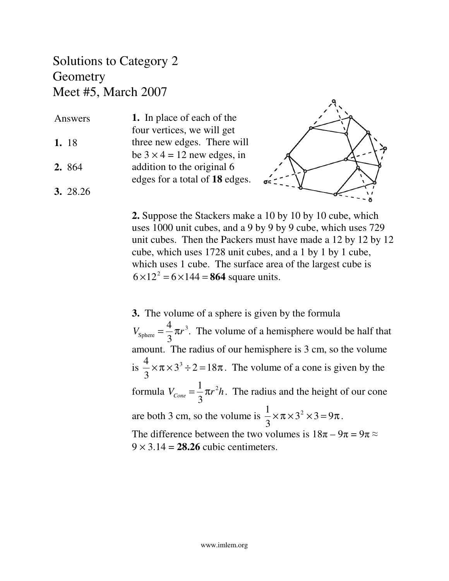#### Solutions to Category 2 **Geometry** Meet #5, March 2007

| Answers  | 1. In place of each of the                                       |
|----------|------------------------------------------------------------------|
| 1. 18    | four vertices, we will get<br>three new edges. There will        |
| 2. 864   | be $3 \times 4 = 12$ new edges, in<br>addition to the original 6 |
| 3. 28.26 | edges for a total of 18 edges.                                   |



**2.** Suppose the Stackers make a 10 by 10 by 10 cube, which uses 1000 unit cubes, and a 9 by 9 by 9 cube, which uses 729 unit cubes. Then the Packers must have made a 12 by 12 by 12 cube, which uses 1728 unit cubes, and a 1 by 1 by 1 cube, which uses 1 cube. The surface area of the largest cube is  $6 \times 12^2 = 6 \times 144 = 864$  square units.

**3.** The volume of a sphere is given by the formula  $V_{\text{sphere}} =$ 4 3  $\pi r^3$ . The volume of a hemisphere would be half that amount. The radius of our hemisphere is 3 cm, so the volume is 4 3  $\times \pi \times 3^3 \div 2 = 18\pi$ . The volume of a cone is given by the formula  $V_{Cone}$  = 1 3 π*r* 2 *h*. The radius and the height of our cone are both 3 cm, so the volume is 1 3  $\times \pi \times 3^2 \times 3 = 9\pi$ . The difference between the two volumes is  $18\pi - 9\pi = 9\pi \approx$  $9 \times 3.14 = 28.26$  cubic centimeters.

**3.** 28.26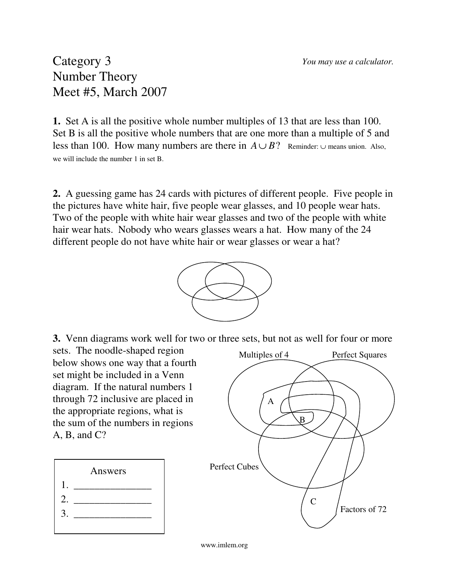#### Category 3 Number Theory Meet #5, March 2007

**1.** Set A is all the positive whole number multiples of 13 that are less than 100. Set B is all the positive whole numbers that are one more than a multiple of 5 and less than 100. How many numbers are there in  $A \cup B$ ? Reminder: ∪ means union. Also, we will include the number 1 in set B.

**2.** A guessing game has 24 cards with pictures of different people. Five people in the pictures have white hair, five people wear glasses, and 10 people wear hats. Two of the people with white hair wear glasses and two of the people with white hair wear hats. Nobody who wears glasses wears a hat. How many of the 24 different people do not have white hair or wear glasses or wear a hat?



**3.** Venn diagrams work well for two or three sets, but not as well for four or more

sets. The noodle-shaped region below shows one way that a fourth set might be included in a Venn diagram. If the natural numbers 1 through 72 inclusive are placed in the appropriate regions, what is the sum of the numbers in regions  $A, B, and C?$ 



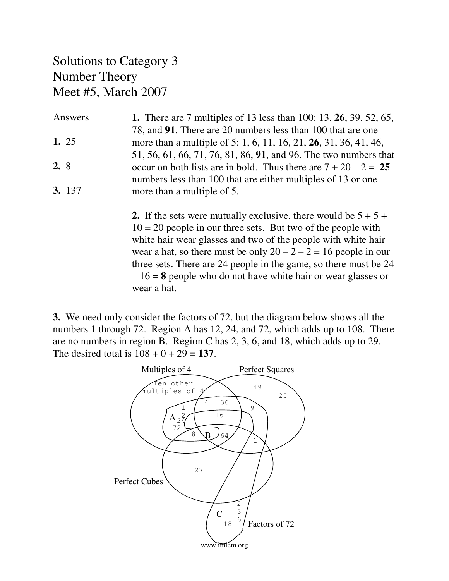#### Solutions to Category 3 Number Theory Meet #5, March 2007

| Answers       | <b>1.</b> There are 7 multiples of 13 less than 100: 13, <b>26</b> , 39, 52, 65, |
|---------------|----------------------------------------------------------------------------------|
|               | 78, and 91. There are 20 numbers less than 100 that are one                      |
| 1. 25         | more than a multiple of 5: 1, 6, 11, 16, 21, 26, 31, 36, 41, 46,                 |
|               | 51, 56, 61, 66, 71, 76, 81, 86, 91, and 96. The two numbers that                 |
| 2.8           | occur on both lists are in bold. Thus there are $7 + 20 - 2 = 25$                |
|               | numbers less than 100 that are either multiples of 13 or one                     |
| <b>3.</b> 137 | more than a multiple of 5.                                                       |

**2.** If the sets were mutually exclusive, there would be  $5 + 5 +$  $10 = 20$  people in our three sets. But two of the people with white hair wear glasses and two of the people with white hair wear a hat, so there must be only  $20 - 2 - 2 = 16$  people in our three sets. There are 24 people in the game, so there must be 24 – 16 = **8** people who do not have white hair or wear glasses or wear a hat.

**3.** We need only consider the factors of 72, but the diagram below shows all the numbers 1 through 72. Region A has 12, 24, and 72, which adds up to 108. There are no numbers in region B. Region C has 2, 3, 6, and 18, which adds up to 29. The desired total is  $108 + 0 + 29 = 137$ .

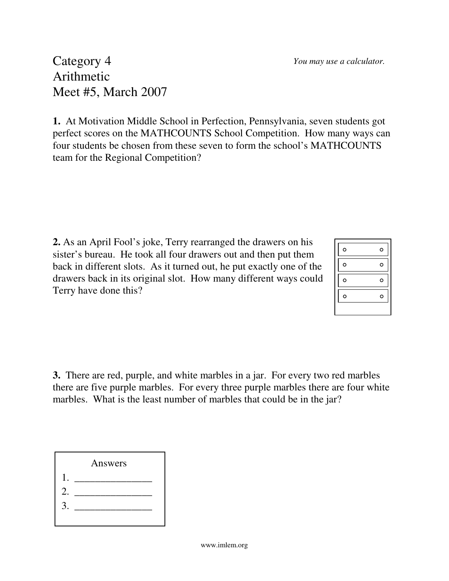Category 4 Arithmetic Meet #5, March 2007

**1.** At Motivation Middle School in Perfection, Pennsylvania, seven students got perfect scores on the MATHCOUNTS School Competition. How many ways can four students be chosen from these seven to form the school's MATHCOUNTS team for the Regional Competition?

**2.** As an April Fool's joke, Terry rearranged the drawers on his sister's bureau. He took all four drawers out and then put them back in different slots. As it turned out, he put exactly one of the drawers back in its original slot. How many different ways could Terry have done this?

**3.** There are red, purple, and white marbles in a jar. For every two red marbles there are five purple marbles. For every three purple marbles there are four white marbles. What is the least number of marbles that could be in the jar?



| $\circ$ | c |
|---------|---|
| $\circ$ | c |
| $\circ$ |   |
| o       |   |
|         |   |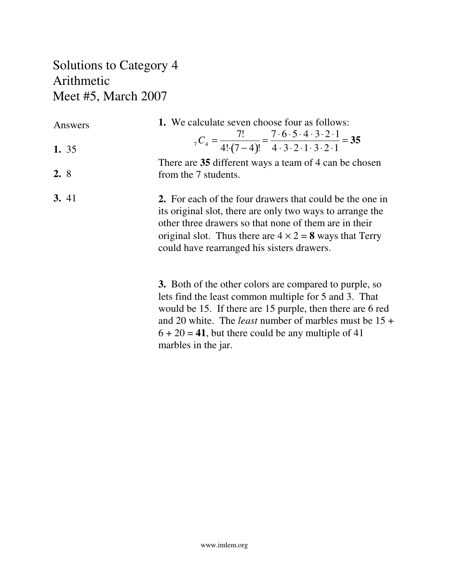### Solutions to Category 4 Arithmetic Meet #5, March 2007

| Answers | 1. We calculate seven choose four as follows:                                                                                                                                                                                                                                                         |
|---------|-------------------------------------------------------------------------------------------------------------------------------------------------------------------------------------------------------------------------------------------------------------------------------------------------------|
| 1. 35   | $_{7}C_{4} = \frac{7!}{4! \cdot (7-4)!} = \frac{7 \cdot 6 \cdot 5 \cdot 4 \cdot 3 \cdot 2 \cdot 1}{4 \cdot 3 \cdot 2 \cdot 1 \cdot 3 \cdot 2 \cdot 1} = 35$                                                                                                                                           |
| 2.8     | There are 35 different ways a team of 4 can be chosen<br>from the 7 students.                                                                                                                                                                                                                         |
| 3.41    | <b>2.</b> For each of the four drawers that could be the one in<br>its original slot, there are only two ways to arrange the<br>other three drawers so that none of them are in their<br>original slot. Thus there are $4 \times 2 = 8$ ways that Terry<br>could have rearranged his sisters drawers. |
|         | <b>3.</b> Both of the other colors are compared to purple, so<br>lets find the least common multiple for 5 and 3. That<br>would be 15. If there are 15 purple, then there are 6 red<br>and 20 white. The <i>least</i> number of marbles must be $15 +$                                                |

marbles in the jar.

 $6 + 20 = 41$ , but there could be any multiple of 41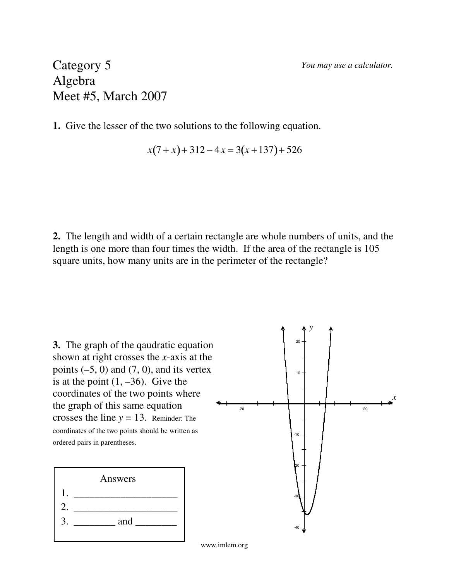*You may use a calculator.*

#### Category 5 Algebra Meet #5, March 2007

**1.** Give the lesser of the two solutions to the following equation.

$$
x(7+x) + 312 - 4x = 3(x+137) + 526
$$

**2.** The length and width of a certain rectangle are whole numbers of units, and the length is one more than four times the width. If the area of the rectangle is 105 square units, how many units are in the perimeter of the rectangle?

**3.** The graph of the qaudratic equation shown at right crosses the *x*-axis at the points  $(-5, 0)$  and  $(7, 0)$ , and its vertex is at the point  $(1, -36)$ . Give the coordinates of the two points where the graph of this same equation crosses the line  $y = 13$ . Reminder: The coordinates of the two points should be written as ordered pairs in parentheses.



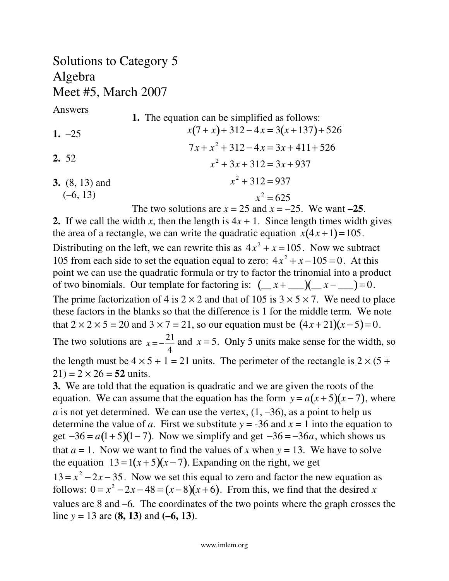#### Solutions to Category 5 Algebra Meet #5, March 2007

Answers

**1.** The equation can be simplified as follows: *x*(7 + *x*)+ 312 − 4*x* = 3(*x* +137)+ 526  $7x + x^2 + 312 - 4x = 3x + 411 + 526$  $x^2 + 3x + 312 = 3x + 937$  $x^2 + 312 = 937$  $x^2 = 625$ The two solutions are  $x = 25$  and  $x = -25$ . We want  $-25$ . **1.** –25 **2.** 52 **3.** (8, 13) and  $(-6, 13)$ 

**2.** If we call the width *x*, then the length is  $4x + 1$ . Since length times width gives the area of a rectangle, we can write the quadratic equation  $x(4x+1)=105$ . Distributing on the left, we can rewrite this as  $4x^2 + x = 105$ . Now we subtract 105 from each side to set the equation equal to zero:  $4x^2 + x - 105 = 0$ . At this point we can use the quadratic formula or try to factor the trinomial into a product of two binomials. Our template for factoring is:  $(\_\_ x + \_\_ )(\_\_ x - \_\_ ) = 0.$ The prime factorization of 4 is  $2 \times 2$  and that of 105 is  $3 \times 5 \times 7$ . We need to place these factors in the blanks so that the difference is 1 for the middle term. We note that  $2 \times 2 \times 5 = 20$  and  $3 \times 7 = 21$ , so our equation must be  $(4x + 21)(x - 5) = 0$ . The two solutions are  $x = -\frac{21}{4}$ 4 and  $x = 5$ . Only 5 units make sense for the width, so the length must be  $4 \times 5 + 1 = 21$  units. The perimeter of the rectangle is  $2 \times (5 +$  $21$ ) =  $2 \times 26 = 52$  units.

**3.** We are told that the equation is quadratic and we are given the roots of the equation. We can assume that the equation has the form  $y = a(x+5)(x-7)$ , where *a* is not yet determined. We can use the vertex,  $(1, -36)$ , as a point to help us determine the value of *a*. First we substitute  $y = -36$  and  $x = 1$  into the equation to get  $-36 = a(1+5)(1-7)$ . Now we simplify and get  $-36 = -36a$ , which shows us that  $a = 1$ . Now we want to find the values of x when  $y = 13$ . We have to solve the equation  $13 = 1(x+5)(x-7)$ . Expanding on the right, we get  $13 = x<sup>2</sup> - 2x - 35$ . Now we set this equal to zero and factor the new equation as follows:  $0 = x^2 - 2x - 48 = (x - 8)(x + 6)$ . From this, we find that the desired *x* values are 8 and –6. The coordinates of the two points where the graph crosses the line *y* = 13 are **(8, 13)** and **(–6, 13)**.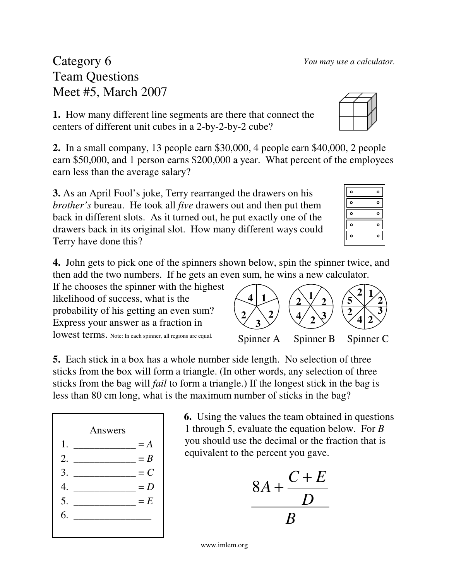#### Category 6 Team Questions Meet #5, March 2007

**1.** How many different line segments are there that connect the centers of different unit cubes in a 2-by-2-by-2 cube?

**2.** In a small company, 13 people earn \$30,000, 4 people earn \$40,000, 2 people earn \$50,000, and 1 person earns \$200,000 a year. What percent of the employees earn less than the average salary?

**3.** As an April Fool's joke, Terry rearranged the drawers on his *brother's* bureau. He took all *five* drawers out and then put them back in different slots. As it turned out, he put exactly one of the drawers back in its original slot. How many different ways could Terry have done this?

**4.** John gets to pick one of the spinners shown below, spin the spinner twice, and then add the two numbers. If he gets an even sum, he wins a new calculator.

If he chooses the spinner with the highest likelihood of success, what is the probability of his getting an even sum? Express your answer as a fraction in lowest terms. Note: In each spinner, all regions are equal.

Answers

1.  $\frac{1}{2}$  = *A* 2.  $\frac{2}{2}$ 3. \_\_\_\_\_\_\_\_\_\_\_\_ = *C* 4.  $= D$ 5.  $\frac{1}{2}$  = *E* 

6. \_\_\_\_\_\_\_\_\_\_\_\_\_\_\_

**5.** Each stick in a box has a whole number side length. No selection of three sticks from the box will form a triangle. (In other words, any selection of three sticks from the bag will *fail* to form a triangle.) If the longest stick in the bag is less than 80 cm long, what is the maximum number of sticks in the bag?

> **6.** Using the values the team obtained in questions 1 through 5, evaluate the equation below. For *B* you should use the decimal or the fraction that is equivalent to the percent you gave.

$$
\frac{8A + \frac{C+E}{D}}{B}
$$

| $\circ$ | ٥       |
|---------|---------|
| $\circ$ | o       |
| $\circ$ | $\circ$ |
| $\circ$ | ٥       |
| ۰       | с       |
|         |         |



| I SUIII, LIE WIIIS A HEW CAICUIAIOI. |           |           |
|--------------------------------------|-----------|-----------|
|                                      |           |           |
| Spinner A                            | Spinner B | Spinner C |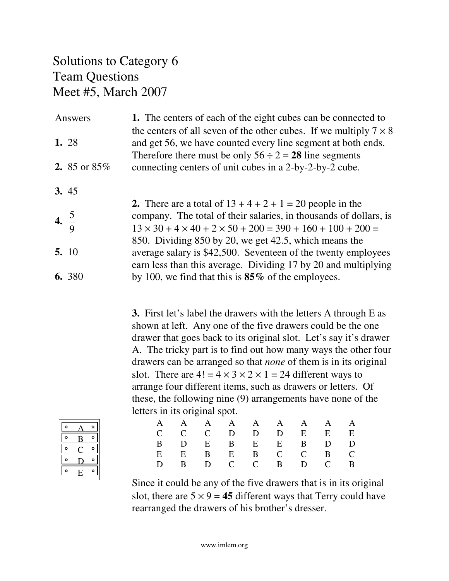#### Solutions to Category 6 Team Questions Meet #5, March 2007

|                  | Answers         | 1. The centers of each of the eight cubes can be connected to<br>the centers of all seven of the other cubes. If we multiply $7 \times 8$                                                                      |
|------------------|-----------------|----------------------------------------------------------------------------------------------------------------------------------------------------------------------------------------------------------------|
|                  | 1. 28           | and get 56, we have counted every line segment at both ends.<br>Therefore there must be only $56 \div 2 = 28$ line segments                                                                                    |
|                  | 2. 85 or $85\%$ | connecting centers of unit cubes in a 2-by-2-by-2 cube.                                                                                                                                                        |
|                  | 3.45            |                                                                                                                                                                                                                |
| 4. $\frac{5}{9}$ |                 | 2. There are a total of $13 + 4 + 2 + 1 = 20$ people in the<br>company. The total of their salaries, in thousands of dollars, is<br>$13 \times 30 + 4 \times 40 + 2 \times 50 + 200 = 390 + 160 + 100 + 200 =$ |
|                  | 5. 10           | 850. Dividing 850 by 20, we get 42.5, which means the<br>average salary is \$42,500. Seventeen of the twenty employees<br>earn less than this average. Dividing 17 by 20 and multiplying                       |
|                  | 6. 380          | by 100, we find that this is $85\%$ of the employees.                                                                                                                                                          |

**3.** First let's label the drawers with the letters A through E as shown at left. Any one of the five drawers could be the one drawer that goes back to its original slot. Let's say it's drawer A. The tricky part is to find out how many ways the other four drawers can be arranged so that *none* of them is in its original slot. There are  $4! = 4 \times 3 \times 2 \times 1 = 24$  different ways to arrange four different items, such as drawers or letters. Of these, the following nine (9) arrangements have none of the letters in its original spot.

| ٥ | c |
|---|---|
| ۰ | г |
| Ō | с |
| Ō |   |
| Ō |   |

|  |  |  | A A A A A A A A A<br>$C$ $C$ $D$ $D$ $D$ $E$ $E$ $E$<br>B D E B E E B D D<br>E E B E B C C B C<br>D B D C C B D C B |
|--|--|--|---------------------------------------------------------------------------------------------------------------------|

Since it could be any of the five drawers that is in its original slot, there are  $5 \times 9 = 45$  different ways that Terry could have rearranged the drawers of his brother's dresser.